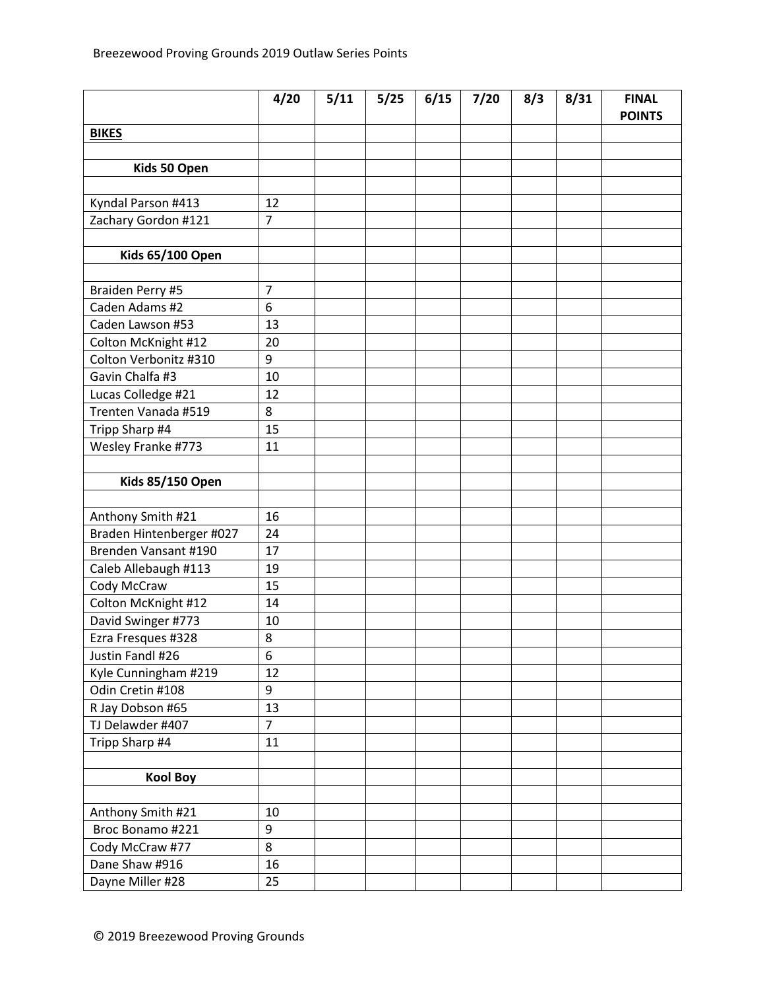|                          | 4/20           | 5/11 | 5/25 | 6/15 | 7/20 | 8/3 | 8/31 | <b>FINAL</b><br><b>POINTS</b> |
|--------------------------|----------------|------|------|------|------|-----|------|-------------------------------|
| <b>BIKES</b>             |                |      |      |      |      |     |      |                               |
|                          |                |      |      |      |      |     |      |                               |
| Kids 50 Open             |                |      |      |      |      |     |      |                               |
|                          |                |      |      |      |      |     |      |                               |
| Kyndal Parson #413       | 12             |      |      |      |      |     |      |                               |
| Zachary Gordon #121      | $\overline{7}$ |      |      |      |      |     |      |                               |
|                          |                |      |      |      |      |     |      |                               |
| <b>Kids 65/100 Open</b>  |                |      |      |      |      |     |      |                               |
|                          |                |      |      |      |      |     |      |                               |
| Braiden Perry #5         | 7              |      |      |      |      |     |      |                               |
| Caden Adams #2           | 6              |      |      |      |      |     |      |                               |
| Caden Lawson #53         | 13             |      |      |      |      |     |      |                               |
| Colton McKnight #12      | 20             |      |      |      |      |     |      |                               |
| Colton Verbonitz #310    | 9              |      |      |      |      |     |      |                               |
| Gavin Chalfa #3          | 10             |      |      |      |      |     |      |                               |
| Lucas Colledge #21       | 12             |      |      |      |      |     |      |                               |
| Trenten Vanada #519      | 8              |      |      |      |      |     |      |                               |
| Tripp Sharp #4           | 15             |      |      |      |      |     |      |                               |
| Wesley Franke #773       | 11             |      |      |      |      |     |      |                               |
|                          |                |      |      |      |      |     |      |                               |
| <b>Kids 85/150 Open</b>  |                |      |      |      |      |     |      |                               |
|                          |                |      |      |      |      |     |      |                               |
| Anthony Smith #21        | 16             |      |      |      |      |     |      |                               |
| Braden Hintenberger #027 | 24             |      |      |      |      |     |      |                               |
| Brenden Vansant #190     | 17             |      |      |      |      |     |      |                               |
| Caleb Allebaugh #113     | 19             |      |      |      |      |     |      |                               |
| Cody McCraw              | 15             |      |      |      |      |     |      |                               |
| Colton McKnight #12      | 14             |      |      |      |      |     |      |                               |
| David Swinger #773       | 10             |      |      |      |      |     |      |                               |
| Ezra Fresques #328       | 8              |      |      |      |      |     |      |                               |
| Justin Fandl #26         | 6              |      |      |      |      |     |      |                               |
| Kyle Cunningham #219     | 12             |      |      |      |      |     |      |                               |
| Odin Cretin #108         | 9              |      |      |      |      |     |      |                               |
| R Jay Dobson #65         | 13             |      |      |      |      |     |      |                               |
| TJ Delawder #407         | $\overline{7}$ |      |      |      |      |     |      |                               |
| Tripp Sharp #4           | 11             |      |      |      |      |     |      |                               |
|                          |                |      |      |      |      |     |      |                               |
| <b>Kool Boy</b>          |                |      |      |      |      |     |      |                               |
|                          |                |      |      |      |      |     |      |                               |
| Anthony Smith #21        | 10             |      |      |      |      |     |      |                               |
| Broc Bonamo #221         | 9              |      |      |      |      |     |      |                               |
| Cody McCraw #77          | 8              |      |      |      |      |     |      |                               |
| Dane Shaw #916           | 16             |      |      |      |      |     |      |                               |
| Dayne Miller #28         | 25             |      |      |      |      |     |      |                               |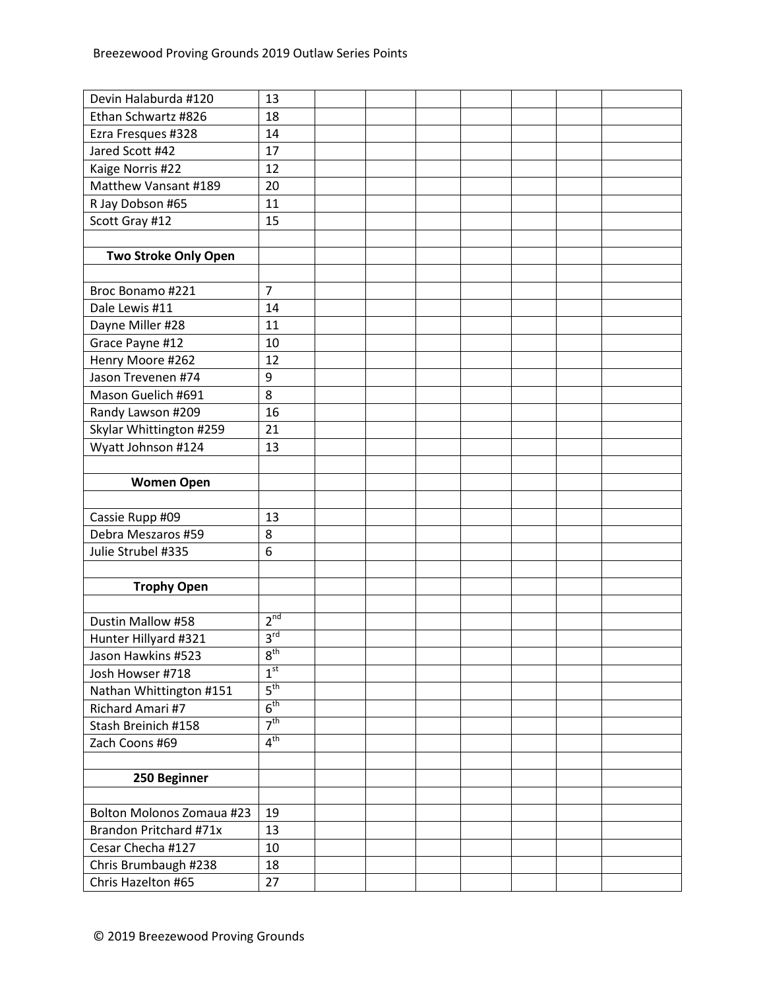| Devin Halaburda #120             | 13              |  |  |  |  |
|----------------------------------|-----------------|--|--|--|--|
| Ethan Schwartz #826              | 18              |  |  |  |  |
| Ezra Fresques #328               | 14              |  |  |  |  |
| Jared Scott #42                  | 17              |  |  |  |  |
| Kaige Norris #22                 | 12              |  |  |  |  |
| Matthew Vansant #189             | 20              |  |  |  |  |
| R Jay Dobson #65                 | 11              |  |  |  |  |
| Scott Gray #12                   | 15              |  |  |  |  |
|                                  |                 |  |  |  |  |
| <b>Two Stroke Only Open</b>      |                 |  |  |  |  |
|                                  |                 |  |  |  |  |
| Broc Bonamo #221                 | $\overline{7}$  |  |  |  |  |
| Dale Lewis #11                   | 14              |  |  |  |  |
| Dayne Miller #28                 | 11              |  |  |  |  |
| Grace Payne #12                  | 10              |  |  |  |  |
| Henry Moore #262                 | 12              |  |  |  |  |
| Jason Trevenen #74               | 9               |  |  |  |  |
| Mason Guelich #691               | 8               |  |  |  |  |
| Randy Lawson #209                | 16              |  |  |  |  |
| Skylar Whittington #259          | 21              |  |  |  |  |
| Wyatt Johnson #124               | 13              |  |  |  |  |
|                                  |                 |  |  |  |  |
| <b>Women Open</b>                |                 |  |  |  |  |
|                                  |                 |  |  |  |  |
| Cassie Rupp #09                  | 13              |  |  |  |  |
| Debra Meszaros #59               | 8               |  |  |  |  |
| Julie Strubel #335               | 6               |  |  |  |  |
|                                  |                 |  |  |  |  |
| <b>Trophy Open</b>               |                 |  |  |  |  |
|                                  |                 |  |  |  |  |
| Dustin Mallow #58                | 2 <sup>nd</sup> |  |  |  |  |
| Hunter Hillyard #321             | 3 <sup>rd</sup> |  |  |  |  |
| Jason Hawkins #523               | 8 <sup>th</sup> |  |  |  |  |
| Josh Howser #718                 | 1 <sup>st</sup> |  |  |  |  |
| Nathan Whittington #151          | $5^{\text{th}}$ |  |  |  |  |
| Richard Amari #7                 | $6^{\text{th}}$ |  |  |  |  |
| Stash Breinich #158              | $7^{\text{th}}$ |  |  |  |  |
| Zach Coons #69                   | 4 <sup>th</sup> |  |  |  |  |
|                                  |                 |  |  |  |  |
| 250 Beginner                     |                 |  |  |  |  |
|                                  |                 |  |  |  |  |
| <b>Bolton Molonos Zomaua #23</b> | 19              |  |  |  |  |
| Brandon Pritchard #71x           | 13              |  |  |  |  |
| Cesar Checha #127                | 10              |  |  |  |  |
| Chris Brumbaugh #238             | 18              |  |  |  |  |
| Chris Hazelton #65               | 27              |  |  |  |  |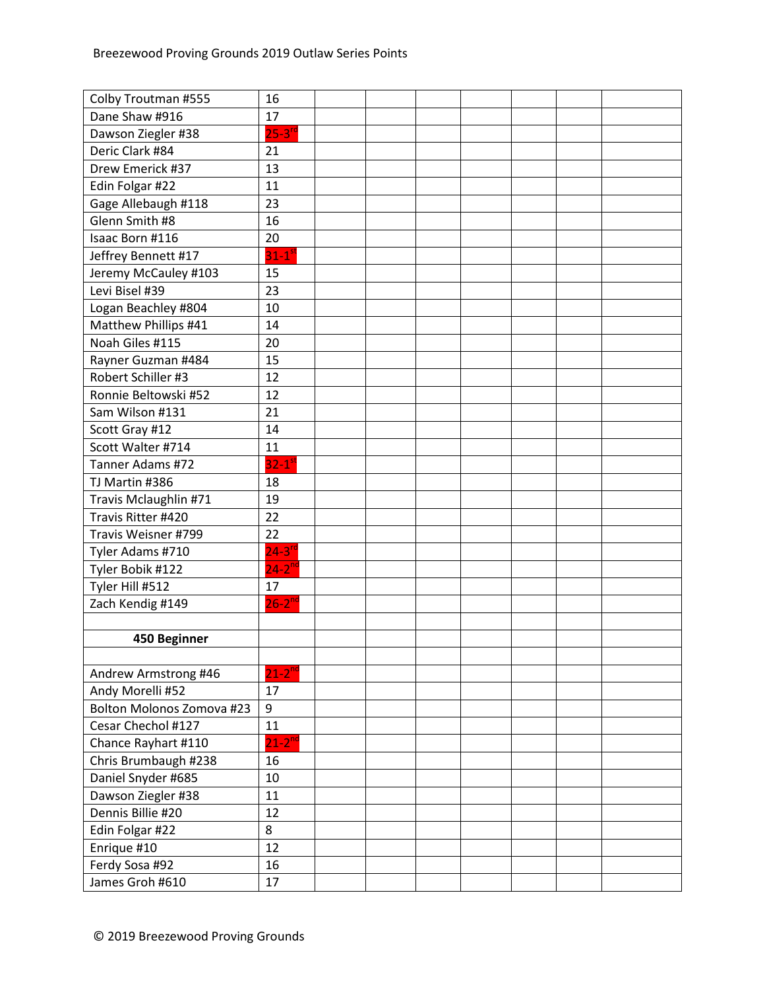| Colby Troutman #555       | 16                   |  |  |  |  |
|---------------------------|----------------------|--|--|--|--|
| Dane Shaw #916            | 17                   |  |  |  |  |
| Dawson Ziegler #38        | $25-3$ <sup>rd</sup> |  |  |  |  |
| Deric Clark #84           | 21                   |  |  |  |  |
| Drew Emerick #37          | 13                   |  |  |  |  |
| Edin Folgar #22           | 11                   |  |  |  |  |
| Gage Allebaugh #118       | 23                   |  |  |  |  |
| Glenn Smith #8            | 16                   |  |  |  |  |
| Isaac Born #116           | 20                   |  |  |  |  |
| Jeffrey Bennett #17       | $31-1$ <sup>st</sup> |  |  |  |  |
| Jeremy McCauley #103      | 15                   |  |  |  |  |
| Levi Bisel #39            | 23                   |  |  |  |  |
| Logan Beachley #804       | 10                   |  |  |  |  |
| Matthew Phillips #41      | 14                   |  |  |  |  |
| Noah Giles #115           | 20                   |  |  |  |  |
| Rayner Guzman #484        | 15                   |  |  |  |  |
| Robert Schiller #3        | 12                   |  |  |  |  |
| Ronnie Beltowski #52      | 12                   |  |  |  |  |
| Sam Wilson #131           | 21                   |  |  |  |  |
| Scott Gray #12            | 14                   |  |  |  |  |
| Scott Walter #714         | 11                   |  |  |  |  |
| Tanner Adams #72          | $32-1$ <sup>st</sup> |  |  |  |  |
| TJ Martin #386            | 18                   |  |  |  |  |
| Travis Mclaughlin #71     | 19                   |  |  |  |  |
| Travis Ritter #420        | 22                   |  |  |  |  |
| Travis Weisner #799       | 22                   |  |  |  |  |
| Tyler Adams #710          | $24-3$ <sup>rd</sup> |  |  |  |  |
| Tyler Bobik #122          | $24-2^{nd}$          |  |  |  |  |
| Tyler Hill #512           | 17                   |  |  |  |  |
| Zach Kendig #149          | $26 - 2^{nd}$        |  |  |  |  |
|                           |                      |  |  |  |  |
| 450 Beginner              |                      |  |  |  |  |
|                           |                      |  |  |  |  |
| Andrew Armstrong #46      | $21 - 2^{nd}$        |  |  |  |  |
| Andy Morelli #52          | 17                   |  |  |  |  |
| Bolton Molonos Zomova #23 | 9                    |  |  |  |  |
| Cesar Chechol #127        | 11                   |  |  |  |  |
| Chance Rayhart #110       | $21-2^{nd}$          |  |  |  |  |
| Chris Brumbaugh #238      | 16                   |  |  |  |  |
| Daniel Snyder #685        | 10                   |  |  |  |  |
| Dawson Ziegler #38        | 11                   |  |  |  |  |
| Dennis Billie #20         | 12                   |  |  |  |  |
| Edin Folgar #22           | 8                    |  |  |  |  |
| Enrique #10               | 12                   |  |  |  |  |
| Ferdy Sosa #92            | 16                   |  |  |  |  |
| James Groh #610           | 17                   |  |  |  |  |
|                           |                      |  |  |  |  |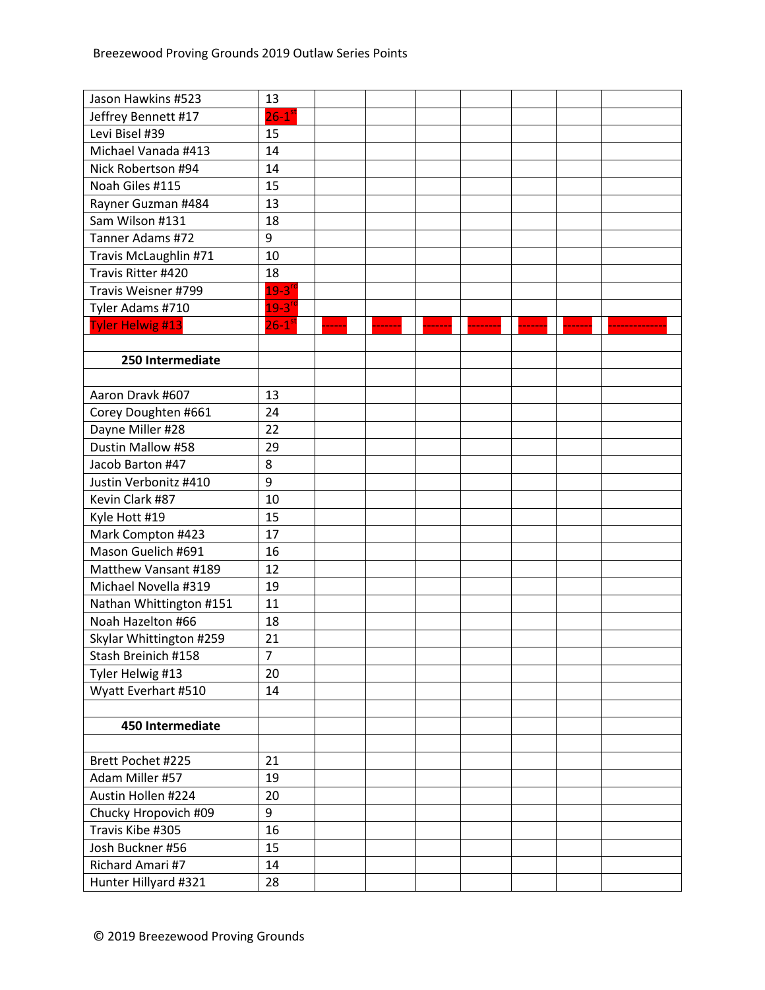| Jason Hawkins #523      | 13                   |  |  |  |  |
|-------------------------|----------------------|--|--|--|--|
| Jeffrey Bennett #17     | $26-1$ <sup>st</sup> |  |  |  |  |
| Levi Bisel #39          | 15                   |  |  |  |  |
| Michael Vanada #413     | 14                   |  |  |  |  |
| Nick Robertson #94      | 14                   |  |  |  |  |
| Noah Giles #115         | 15                   |  |  |  |  |
| Rayner Guzman #484      | 13                   |  |  |  |  |
| Sam Wilson #131         | 18                   |  |  |  |  |
| Tanner Adams #72        | 9                    |  |  |  |  |
| Travis McLaughlin #71   | 10                   |  |  |  |  |
| Travis Ritter #420      | 18                   |  |  |  |  |
| Travis Weisner #799     | $19-3$ <sup>rd</sup> |  |  |  |  |
| Tyler Adams #710        | $19-3$ <sup>rc</sup> |  |  |  |  |
| <b>Tyler Helwig #13</b> | $26-1$ <sup>st</sup> |  |  |  |  |
|                         |                      |  |  |  |  |
| 250 Intermediate        |                      |  |  |  |  |
|                         |                      |  |  |  |  |
| Aaron Dravk #607        | 13                   |  |  |  |  |
| Corey Doughten #661     | 24                   |  |  |  |  |
| Dayne Miller #28        | 22                   |  |  |  |  |
| Dustin Mallow #58       | 29                   |  |  |  |  |
| Jacob Barton #47        | 8                    |  |  |  |  |
| Justin Verbonitz #410   | 9                    |  |  |  |  |
| Kevin Clark #87         | 10                   |  |  |  |  |
| Kyle Hott #19           | 15                   |  |  |  |  |
| Mark Compton #423       | 17                   |  |  |  |  |
| Mason Guelich #691      | 16                   |  |  |  |  |
| Matthew Vansant #189    | 12                   |  |  |  |  |
| Michael Novella #319    | 19                   |  |  |  |  |
| Nathan Whittington #151 | 11                   |  |  |  |  |
| Noah Hazelton #66       | 18                   |  |  |  |  |
| Skylar Whittington #259 | 21                   |  |  |  |  |
| Stash Breinich #158     | 7                    |  |  |  |  |
| Tyler Helwig #13        | 20                   |  |  |  |  |
| Wyatt Everhart #510     | 14                   |  |  |  |  |
|                         |                      |  |  |  |  |
| 450 Intermediate        |                      |  |  |  |  |
|                         |                      |  |  |  |  |
| Brett Pochet #225       | 21                   |  |  |  |  |
| Adam Miller #57         | 19                   |  |  |  |  |
| Austin Hollen #224      | 20                   |  |  |  |  |
| Chucky Hropovich #09    | 9                    |  |  |  |  |
| Travis Kibe #305        | 16                   |  |  |  |  |
| Josh Buckner #56        | 15                   |  |  |  |  |
| Richard Amari #7        | 14                   |  |  |  |  |
| Hunter Hillyard #321    | 28                   |  |  |  |  |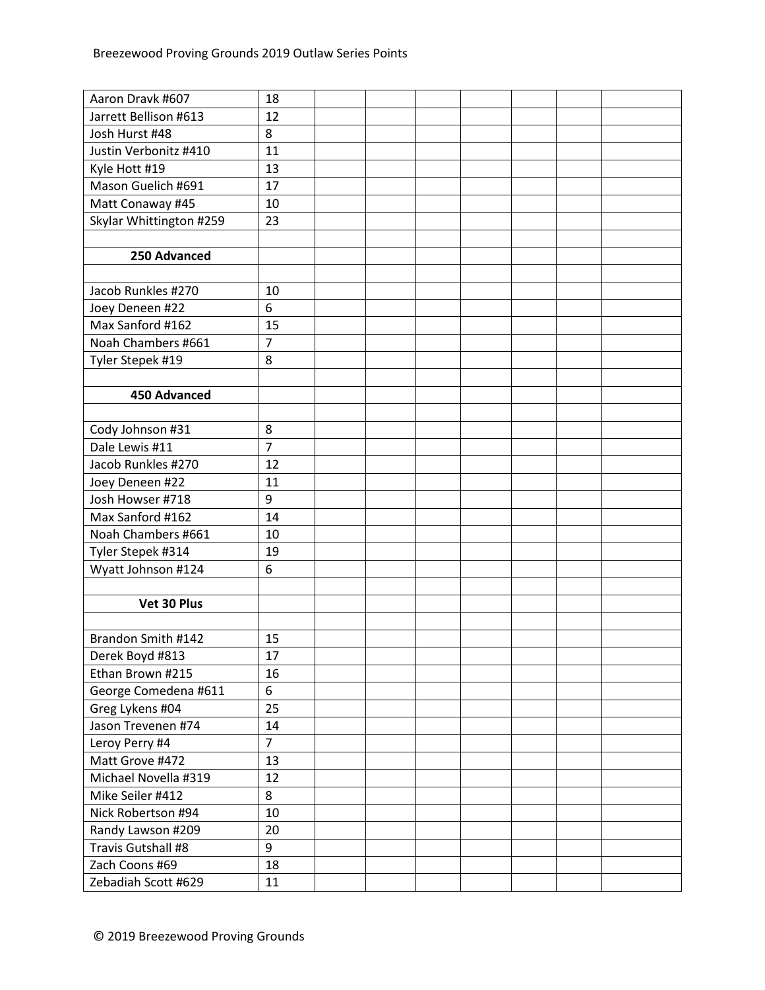| Aaron Dravk #607        | 18             |  |  |  |  |
|-------------------------|----------------|--|--|--|--|
| Jarrett Bellison #613   | 12             |  |  |  |  |
| Josh Hurst #48          | 8              |  |  |  |  |
| Justin Verbonitz #410   | 11             |  |  |  |  |
| Kyle Hott #19           | 13             |  |  |  |  |
| Mason Guelich #691      | 17             |  |  |  |  |
| Matt Conaway #45        | 10             |  |  |  |  |
| Skylar Whittington #259 | 23             |  |  |  |  |
|                         |                |  |  |  |  |
| 250 Advanced            |                |  |  |  |  |
|                         |                |  |  |  |  |
| Jacob Runkles #270      | 10             |  |  |  |  |
| Joey Deneen #22         | 6              |  |  |  |  |
| Max Sanford #162        | 15             |  |  |  |  |
| Noah Chambers #661      | $\overline{7}$ |  |  |  |  |
| Tyler Stepek #19        | 8              |  |  |  |  |
|                         |                |  |  |  |  |
| 450 Advanced            |                |  |  |  |  |
|                         |                |  |  |  |  |
| Cody Johnson #31        | 8              |  |  |  |  |
| Dale Lewis #11          | $\overline{7}$ |  |  |  |  |
| Jacob Runkles #270      | 12             |  |  |  |  |
| Joey Deneen #22         | 11             |  |  |  |  |
| Josh Howser #718        | 9              |  |  |  |  |
| Max Sanford #162        | 14             |  |  |  |  |
| Noah Chambers #661      | 10             |  |  |  |  |
| Tyler Stepek #314       | 19             |  |  |  |  |
| Wyatt Johnson #124      | 6              |  |  |  |  |
|                         |                |  |  |  |  |
| Vet 30 Plus             |                |  |  |  |  |
|                         |                |  |  |  |  |
| Brandon Smith #142      | 15             |  |  |  |  |
| Derek Boyd #813         | 17             |  |  |  |  |
| Ethan Brown #215        | 16             |  |  |  |  |
| George Comedena #611    | 6              |  |  |  |  |
| Greg Lykens #04         | 25             |  |  |  |  |
| Jason Trevenen #74      | 14             |  |  |  |  |
| Leroy Perry #4          | $\overline{7}$ |  |  |  |  |
| Matt Grove #472         | 13             |  |  |  |  |
| Michael Novella #319    | 12             |  |  |  |  |
| Mike Seiler #412        | 8              |  |  |  |  |
| Nick Robertson #94      | 10             |  |  |  |  |
| Randy Lawson #209       | 20             |  |  |  |  |
| Travis Gutshall #8      | 9              |  |  |  |  |
| Zach Coons #69          | 18             |  |  |  |  |
| Zebadiah Scott #629     | 11             |  |  |  |  |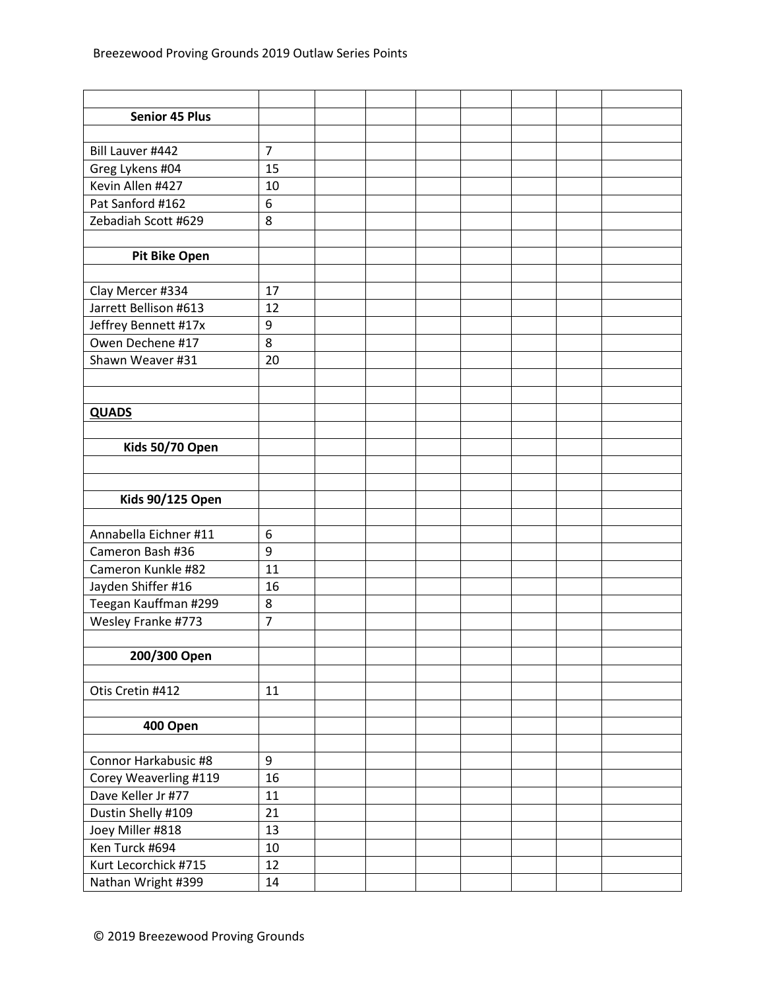| <b>Senior 45 Plus</b>   |                |  |  |  |  |
|-------------------------|----------------|--|--|--|--|
|                         |                |  |  |  |  |
| Bill Lauver #442        | $\overline{7}$ |  |  |  |  |
| Greg Lykens #04         | 15             |  |  |  |  |
| Kevin Allen #427        | 10             |  |  |  |  |
| Pat Sanford #162        | 6              |  |  |  |  |
| Zebadiah Scott #629     | 8              |  |  |  |  |
|                         |                |  |  |  |  |
| <b>Pit Bike Open</b>    |                |  |  |  |  |
|                         |                |  |  |  |  |
| Clay Mercer #334        | 17             |  |  |  |  |
| Jarrett Bellison #613   | 12             |  |  |  |  |
| Jeffrey Bennett #17x    | 9              |  |  |  |  |
| Owen Dechene #17        | 8              |  |  |  |  |
| Shawn Weaver #31        | 20             |  |  |  |  |
|                         |                |  |  |  |  |
|                         |                |  |  |  |  |
| <b>QUADS</b>            |                |  |  |  |  |
|                         |                |  |  |  |  |
| Kids 50/70 Open         |                |  |  |  |  |
|                         |                |  |  |  |  |
|                         |                |  |  |  |  |
| <b>Kids 90/125 Open</b> |                |  |  |  |  |
|                         |                |  |  |  |  |
| Annabella Eichner #11   | 6              |  |  |  |  |
| Cameron Bash #36        | 9              |  |  |  |  |
| Cameron Kunkle #82      | 11             |  |  |  |  |
| Jayden Shiffer #16      | 16             |  |  |  |  |
| Teegan Kauffman #299    | 8              |  |  |  |  |
| Wesley Franke #773      | 7              |  |  |  |  |
|                         |                |  |  |  |  |
| 200/300 Open            |                |  |  |  |  |
|                         |                |  |  |  |  |
| Otis Cretin #412        | 11             |  |  |  |  |
|                         |                |  |  |  |  |
| 400 Open                |                |  |  |  |  |
|                         |                |  |  |  |  |
| Connor Harkabusic #8    | 9              |  |  |  |  |
| Corey Weaverling #119   | 16             |  |  |  |  |
| Dave Keller Jr #77      | 11             |  |  |  |  |
| Dustin Shelly #109      | 21             |  |  |  |  |
| Joey Miller #818        | 13             |  |  |  |  |
| Ken Turck #694          | 10             |  |  |  |  |
| Kurt Lecorchick #715    | 12             |  |  |  |  |
| Nathan Wright #399      | 14             |  |  |  |  |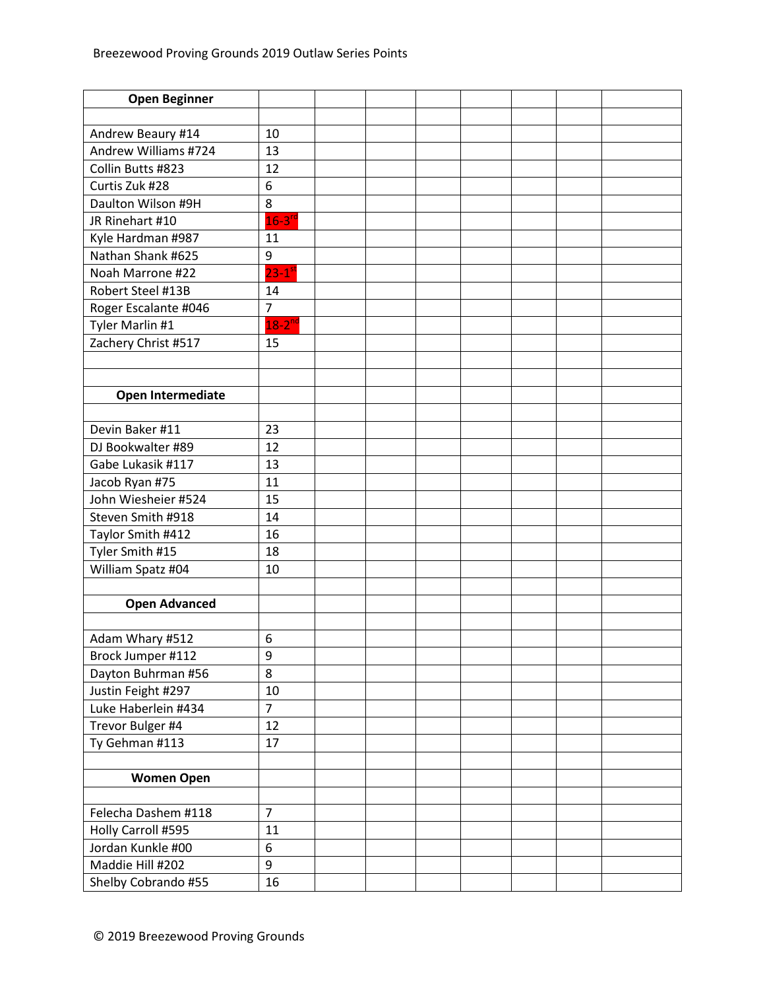| <b>Open Beginner</b> |                      |  |  |  |  |
|----------------------|----------------------|--|--|--|--|
|                      |                      |  |  |  |  |
| Andrew Beaury #14    | 10                   |  |  |  |  |
| Andrew Williams #724 | 13                   |  |  |  |  |
| Collin Butts #823    | 12                   |  |  |  |  |
| Curtis Zuk #28       | 6                    |  |  |  |  |
| Daulton Wilson #9H   | 8                    |  |  |  |  |
| JR Rinehart #10      | $16-3$ <sup>rd</sup> |  |  |  |  |
| Kyle Hardman #987    | 11                   |  |  |  |  |
| Nathan Shank #625    | 9                    |  |  |  |  |
| Noah Marrone #22     | $23-1$ <sup>st</sup> |  |  |  |  |
| Robert Steel #13B    | 14                   |  |  |  |  |
| Roger Escalante #046 | $\overline{7}$       |  |  |  |  |
| Tyler Marlin #1      | $18-2^{nd}$          |  |  |  |  |
| Zachery Christ #517  | 15                   |  |  |  |  |
|                      |                      |  |  |  |  |
|                      |                      |  |  |  |  |
| Open Intermediate    |                      |  |  |  |  |
|                      |                      |  |  |  |  |
| Devin Baker #11      | 23                   |  |  |  |  |
| DJ Bookwalter #89    | 12                   |  |  |  |  |
| Gabe Lukasik #117    | 13                   |  |  |  |  |
| Jacob Ryan #75       | 11                   |  |  |  |  |
| John Wiesheier #524  | 15                   |  |  |  |  |
| Steven Smith #918    | 14                   |  |  |  |  |
| Taylor Smith #412    | 16                   |  |  |  |  |
| Tyler Smith #15      | 18                   |  |  |  |  |
| William Spatz #04    | 10                   |  |  |  |  |
|                      |                      |  |  |  |  |
| <b>Open Advanced</b> |                      |  |  |  |  |
|                      |                      |  |  |  |  |
| Adam Whary #512      | 6                    |  |  |  |  |
| Brock Jumper #112    | 9                    |  |  |  |  |
| Dayton Buhrman #56   | 8                    |  |  |  |  |
| Justin Feight #297   | 10                   |  |  |  |  |
| Luke Haberlein #434  | $\overline{7}$       |  |  |  |  |
| Trevor Bulger #4     | 12                   |  |  |  |  |
| Ty Gehman #113       | 17                   |  |  |  |  |
|                      |                      |  |  |  |  |
| <b>Women Open</b>    |                      |  |  |  |  |
|                      |                      |  |  |  |  |
| Felecha Dashem #118  | $\overline{7}$       |  |  |  |  |
| Holly Carroll #595   | 11                   |  |  |  |  |
| Jordan Kunkle #00    | 6                    |  |  |  |  |
| Maddie Hill #202     | 9                    |  |  |  |  |
| Shelby Cobrando #55  | 16                   |  |  |  |  |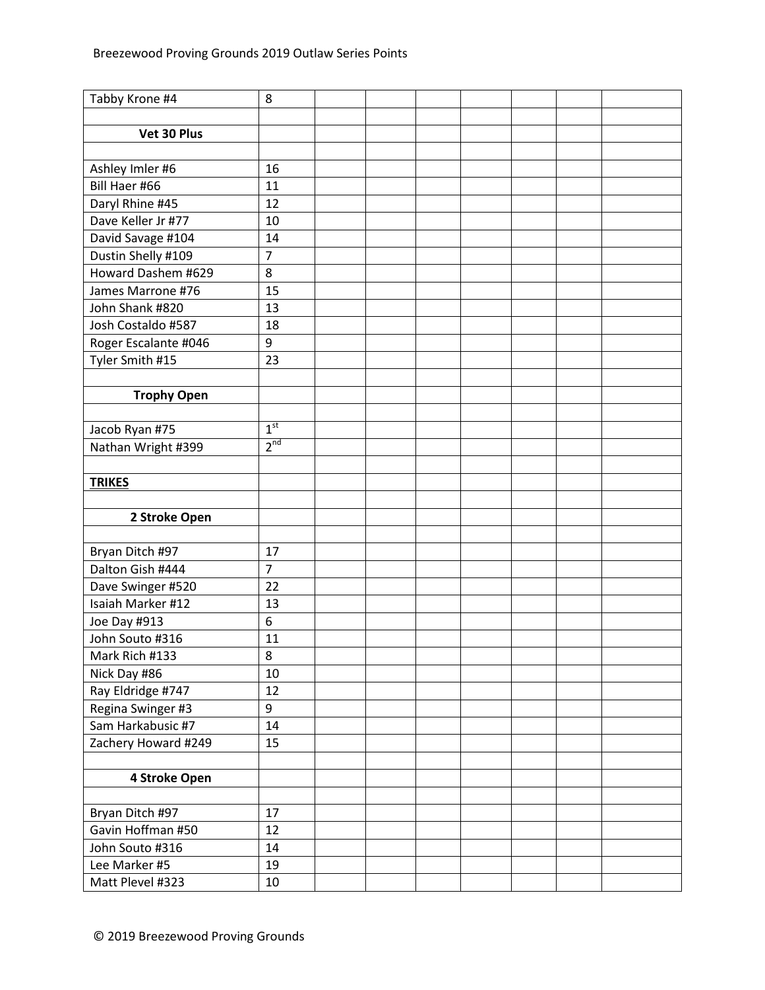| Tabby Krone #4       | 8               |  |  |  |  |
|----------------------|-----------------|--|--|--|--|
|                      |                 |  |  |  |  |
| Vet 30 Plus          |                 |  |  |  |  |
|                      |                 |  |  |  |  |
| Ashley Imler #6      | 16              |  |  |  |  |
| Bill Haer #66        | 11              |  |  |  |  |
| Daryl Rhine #45      | 12              |  |  |  |  |
| Dave Keller Jr #77   | 10              |  |  |  |  |
| David Savage #104    | 14              |  |  |  |  |
| Dustin Shelly #109   | $\overline{7}$  |  |  |  |  |
| Howard Dashem #629   | 8               |  |  |  |  |
| James Marrone #76    | 15              |  |  |  |  |
| John Shank #820      | 13              |  |  |  |  |
| Josh Costaldo #587   | 18              |  |  |  |  |
| Roger Escalante #046 | 9               |  |  |  |  |
| Tyler Smith #15      | 23              |  |  |  |  |
|                      |                 |  |  |  |  |
| <b>Trophy Open</b>   |                 |  |  |  |  |
|                      |                 |  |  |  |  |
| Jacob Ryan #75       | 1 <sup>st</sup> |  |  |  |  |
| Nathan Wright #399   | 2 <sup>nd</sup> |  |  |  |  |
|                      |                 |  |  |  |  |
| <b>TRIKES</b>        |                 |  |  |  |  |
|                      |                 |  |  |  |  |
| 2 Stroke Open        |                 |  |  |  |  |
|                      |                 |  |  |  |  |
| Bryan Ditch #97      | 17              |  |  |  |  |
| Dalton Gish #444     | $\overline{7}$  |  |  |  |  |
| Dave Swinger #520    | 22              |  |  |  |  |
| Isaiah Marker #12    | 13              |  |  |  |  |
| Joe Day #913         | 6               |  |  |  |  |
| John Souto #316      | 11              |  |  |  |  |
| Mark Rich #133       | 8               |  |  |  |  |
| Nick Day #86         | 10              |  |  |  |  |
| Ray Eldridge #747    | 12              |  |  |  |  |
| Regina Swinger #3    | 9               |  |  |  |  |
| Sam Harkabusic #7    | 14              |  |  |  |  |
| Zachery Howard #249  | 15              |  |  |  |  |
|                      |                 |  |  |  |  |
| 4 Stroke Open        |                 |  |  |  |  |
|                      |                 |  |  |  |  |
| Bryan Ditch #97      | 17              |  |  |  |  |
| Gavin Hoffman #50    | 12              |  |  |  |  |
| John Souto #316      | 14              |  |  |  |  |
| Lee Marker #5        | 19              |  |  |  |  |
| Matt Plevel #323     | 10              |  |  |  |  |